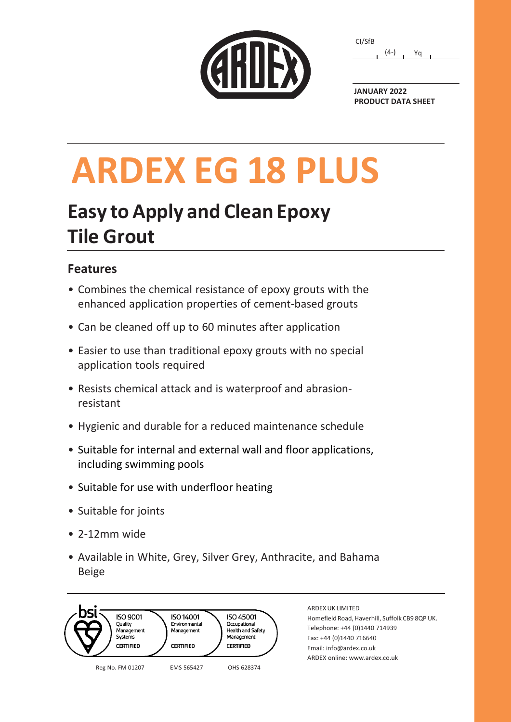| CARDEX |  |  |
|--------|--|--|
|        |  |  |
|        |  |  |
|        |  |  |

| CI/SfB |        |    |  |
|--------|--------|----|--|
|        | $(4-)$ | Yα |  |

**JANUARY 2022 PRODUCT DATA SHEET**

# **ARDEX EG 18 PLUS**

## **Easy toApply and Clean Epoxy Tile Grout**

### **Features**

- Combines the chemical resistance of epoxy grouts with the enhanced application properties of cement-based grouts
- Can be cleaned off up to 60 minutes after application
- Easier to use than traditional epoxy grouts with no special application tools required
- Resists chemical attack and is waterproof and abrasionresistant
- Hygienic and durable for a reduced maintenance schedule
- Suitable for internal and external wall and floor applications, including swimming pools
- Suitable for use with underfloor heating
- Suitable for joints
- 2-12mm wide
- Available in White, Grey, Silver Grey, Anthracite, and Bahama Beige



ARDEX UK LIMITED Homefield Road, Haverhill, Suffolk CB9 8QP UK. Telephone: +44 (0)1440 714939 Fax: +44 (0)1440 716640 Email: info[@ardex.co.uk](mailto:technical_admin@ardex.co.uk)  ARDEX online[: www.ardex.co.uk](http://www.ardex.co.uk/)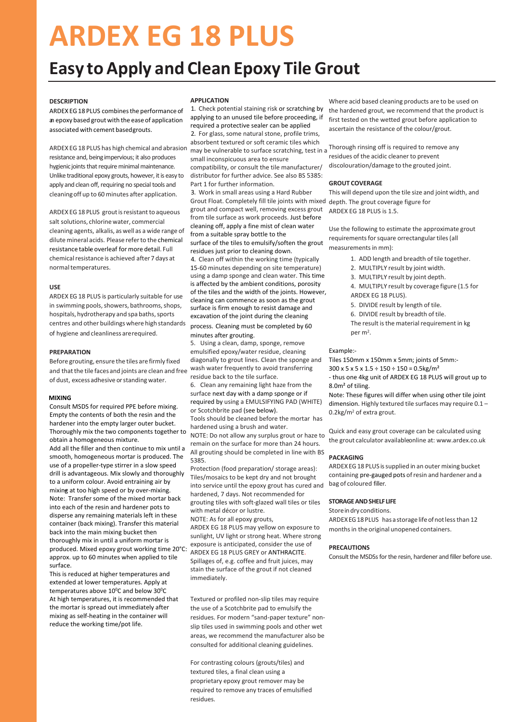## **ARDEX EG 18 PLUS**

### **Easy to Apply and Clean Epoxy Tile Grout**

#### **DESCRIPTION**

ARDEX EG 18 PLUS combines the performance of an epoxy based grout with the ease of application associated with cement basedgrouts.

ARDEX EG 18 PLUS has high chemical and abrasion resistance and, being impervious; it also produces hygienic joints that require minimal maintenance. Unlike traditional epoxy grouts, however, it is easy to apply and clean off, requiring no special tools and cleaning off up to 60 minutes after application.

ARDEX EG 18 PLUS grout is resistant to aqueous salt solutions, chlorine water, commercial cleaning agents, alkalis, as well as a wide range of dilute mineral acids. Please refer to the chemical resistance table overleaf for more detail. Full chemical resistance is achieved after 7 days at normal temperatures.

#### **USE**

ARDEX EG 18 PLUS is particularly suitable for use in swimming pools, showers, bathrooms, shops, hospitals, hydrotherapy and spa baths, sports centres and other buildings where high standards of hygiene and cleanliness are required.

#### **PREPARATION**

Before grouting, ensure the tiles are firmly fixed and that the tile faces and joints are clean and free of dust, excess adhesive orstanding water.

#### **MIXING**

Consult MSDS for required PPE before mixing. Empty the contents of both the resin and the hardener into the empty larger outer bucket. Thoroughly mix the two components together to obtain a homogeneous mixture. Add all the filler and then continue to mix until a smooth, homogeneous mortar is produced. The use of a propeller-type stirrer in a slow speed drill is advantageous. Mix slowly and thoroughly to a uniform colour. Avoid entraining air by mixing at too high speed or by over-mixing. Note: Transfer some of the mixed mortar back into each of the resin and hardener pots to disperse any remaining materials left in these container (back mixing). Transfer this material back into the main mixing bucket then thoroughly mix in until a uniform mortar is produced. Mixed epoxy grout working time 20°C: approx. up to 60 minutes when applied to tile surface.

This is reduced at higher temperatures and extended at lower temperatures. Apply at temperatures above  $10^{\circ}$ C and below  $30^{\circ}$ C At high temperatures, it is recommended that the mortar is spread out immediately after mixing as self-heating in the container will reduce the working time/pot life.

#### **APPLICATION**

1. Check potential staining risk or scratching by applying to an unused tile before proceeding, if required a protective sealer can be applied 2. For glass, some natural stone, profile trims, absorbent textured or soft ceramic tiles which may be vulnerable to surface scratching, test in a small inconspicuous area to ensure compatibility, or consult the tile manufacturer/ distributor for further advice. See also BS 5385: Part 1 for further information.

3. Work in small areas using a Hard Rubber Grout Float. Completely fill tile joints with mixed depth. The grout coverage figure for grout and compact well, removing excess grout from tile surface as work proceeds. Just before cleaning off, apply a fine mist of clean water from a suitable spray bottle to the surface of the tiles to emulsify/soften the grout residues just prior to cleaning down.

4. Clean off within the working time (typically 15-60 minutes depending on site temperature) using a damp sponge and clean water. This time is affected by the ambient conditions, porosity of the tiles and the width of the joints. However, cleaning can commence as soon as the grout surface is firm enough to resist damage and excavation of the joint during the cleaning

process. Cleaning must be completed by 60 minutes after grouting.

Using a clean, damp, sponge, remove emulsified epoxy/water residue, cleaning diagonally to grout lines. Clean the sponge and wash water frequently to avoid transferring residue back to the tile surface.

6. Clean any remaining light haze from the surface next day with a damp sponge or if required by using a EMULSIFYING PAD (WHITE) or Scotchbrite pad (see below).

Tools should be cleaned before the mortar has hardened using a brush and water.

NOTE: Do not allow any surplus grout or haze to remain on the surface for more than 24 hours. All grouting should be completed in line with BS 5385.

Protection (food preparation/ storage areas): Tiles/mosaics to be kept dry and not brought into service until the epoxy grout has cured and bag of coloured filler. hardened, 7 days. Not recommended for grouting tiles with soft-glazed wall tiles or tiles with metal décor or lustre.

NOTE: As for all epoxy grouts,

ARDEX EG 18 PLUS may yellow on exposure to sunlight, UV light or strong heat. Where strong exposure is anticipated, consider the use of ARDEX EG 18 PLUS GREY or ANTHRACITE. Spillages of, e.g. coffee and fruit juices, may stain the surface of the grout if not cleaned immediately.

Textured or profiled non-slip tiles may require the use of a Scotchbrite pad to emulsify the residues. For modern "sand-paper texture" nonslip tiles used in swimming pools and other wet areas, we recommend the manufacturer also be consulted for additional cleaning guidelines.

For contrasting colours (grouts/tiles) and textured tiles, a final clean using a proprietary epoxy grout remover may be required to remove any traces of emulsified residues.

Where acid based cleaning products are to be used on the hardened grout, we recommend that the product is first tested on the wetted grout before application to ascertain the resistance of the colour/grout.

Thorough rinsing off is required to remove any residues of the acidic cleaner to prevent discolouration/damage to the grouted joint.

#### **GROUT COVERAGE**

This will depend upon the tile size and joint width, and ARDEX EG 18 PLUS is 1.5.

Use the following to estimate the approximate grout requirements for square orrectangular tiles (all measurements in mm):

- 1. ADD length and breadth of tile together.
- 2. MULTIPLY result by joint width.
- 3. MULTIPLY result by joint depth.
- 4. MULTIPLY result by coverage figure (1.5 for ARDEX EG 18 PLUS).
- 5. DIVIDE result by length of tile.
- 6. DIVIDE result by breadth of tile.

The result is the material requirement in kg per m<sup>2</sup>.

#### Example:-

Tiles 150mm x 150mm x 5mm; joints of 5mm:-

 $300 \times 5 \times 5 \times 1.5 \div 150 \div 150 = 0.5 \text{kg/m}^2$ 

- thus one 4kg unit of ARDEX EG 18 PLUS will grout up to 8.0m² of tiling.

Note: These figures will differ when using other tile joint dimension. Highly textured tile surfaces may require 0.1 – 0.2kg/m<sup>2</sup> of extra grout.

Quick and easy grout coverage can be calculated using the grout calculator available online at: www.ardex.co.uk

#### **PACKAGING**

ARDEX EG18 PLUS issupplied in an outer mixing bucket containing pre-gauged pots of resin and hardener and a

#### **STORAGE AND SHELF LIFE**

Store in dry conditions. ARDEX EG18 PLUS has a storage life of not less than 12 months in the original unopened containers.

#### **PRECAUTIONS**

Consult the MSDSs for the resin, hardener and filler before use.